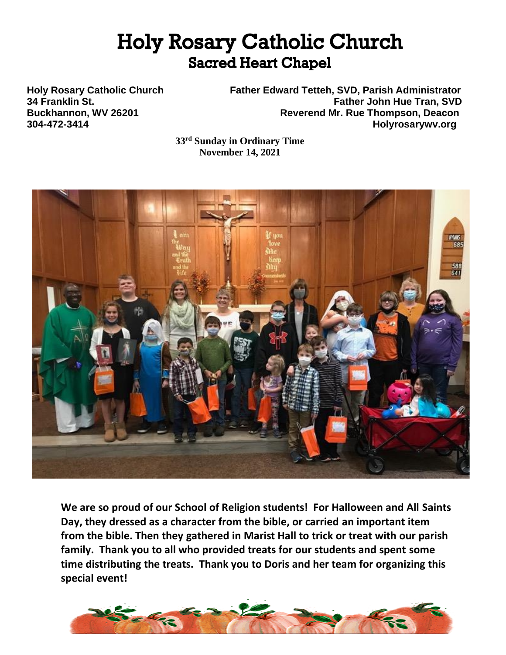# **Holy Rosary Catholic Church Sacred Heart Chapel**

**Holy Rosary Catholic Church Father Edward Tetteh, SVD, Parish Administrator 34 Franklin St. Father John Hue Tran, SVD** Buckhannon, WV 26201 **Reverend Mr. Rue Thompson, Deacon 304-472-3414 Holyrosarywv.org**

> **33rd Sunday in Ordinary Time November 14, 2021**



**We are so proud of our School of Religion students! For Halloween and All Saints Day, they dressed as a character from the bible, or carried an important item from the bible. Then they gathered in Marist Hall to trick or treat with our parish family. Thank you to all who provided treats for our students and spent some time distributing the treats. Thank you to Doris and her team for organizing this special event!**

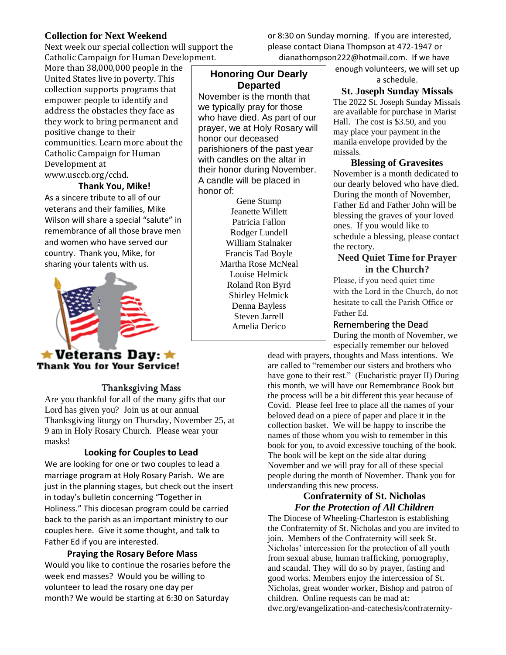## **Collection for Next Weekend**

Next week our special collection will support the Catholic Campaign for Human Development.

More than 38,000,000 people in the United States live in poverty. This collection supports programs that empower people to identify and address the obstacles they face as they work to bring permanent and positive change to their communities. Learn more about the Catholic Campaign for Human Development at www.usccb.org/cchd.

## **Thank You, Mike!**

As a sincere tribute to all of our veterans and their families, Mike Wilson will share a special "salute" in remembrance of all those brave men and women who have served our country. Thank you, Mike, for sharing your talents with us.



## $\bigstar$  Veterans Day:  $\bigstar$ **Thank You for Your Service!**

## Thanksgiving Mass

Are you thankful for all of the many gifts that our Lord has given you? Join us at our annual Thanksgiving liturgy on Thursday, November 25, at 9 am in Holy Rosary Church. Please wear your masks!

## **Looking for Couples to Lead**

We are looking for one or two couples to lead a marriage program at Holy Rosary Parish. We are just in the planning stages, but check out the insert in today's bulletin concerning "Together in Holiness." This diocesan program could be carried back to the parish as an important ministry to our couples here. Give it some thought, and talk to Father Ed if you are interested.

## **Praying the Rosary Before Mass**

Would you like to continue the rosaries before the week end masses? Would you be willing to volunteer to lead the rosary one day per month? We would be starting at 6:30 on Saturday

**Honoring Our Dearly Departed**

November is the month that we typically pray for those who have died. As part of our prayer, we at Holy Rosary will honor our deceased parishioners of the past year with candles on the altar in their honor during November. A candle will be placed in honor of:

Gene Stump Jeanette Willett Patricia Fallon Rodger Lundell William Stalnaker Francis Tad Boyle Martha Rose McNeal Louise Helmick Roland Ron Byrd Shirley Helmick Denna Bayless Steven Jarrell Amelia Derico

enough volunteers, we will set up a schedule.

or 8:30 on Sunday morning. If you are interested, please contact Diana Thompson at 472-1947 or dianathompson222@hotmail.com. If we have

> **St. Joseph Sunday Missals** The 2022 St. Joseph Sunday Missals are available for purchase in Marist Hall. The cost is \$3.50, and you may place your payment in the manila envelope provided by the missals.

**Blessing of Gravesites** November is a month dedicated to our dearly beloved who have died. During the month of November, Father Ed and Father John will be blessing the graves of your loved ones. If you would like to schedule a blessing, please contact the rectory.

## **Need Quiet Time for Prayer in the Church?**

Please, if you need quiet time with the Lord in the Church, do not hesitate to call the Parish Office or Father Ed.

### Remembering the Dead

During the month of November, we especially remember our beloved

dead with prayers, thoughts and Mass intentions. We are called to "remember our sisters and brothers who have gone to their rest." (Eucharistic prayer II) During this month, we will have our Remembrance Book but the process will be a bit different this year because of Covid. Please feel free to place all the names of your beloved dead on a piece of paper and place it in the collection basket. We will be happy to inscribe the names of those whom you wish to remember in this book for you, to avoid excessive touching of the book. The book will be kept on the side altar during November and we will pray for all of these special people during the month of November. Thank you for understanding this new process.

## **Confraternity of St. Nicholas** *For the Protection of All Children*

The Diocese of Wheeling-Charleston is establishing the Confraternity of St. Nicholas and you are invited to join. Members of the Confraternity will seek St. Nicholas' intercession for the protection of all youth from sexual abuse, human trafficking, pornography, and scandal. They will do so by prayer, fasting and good works. Members enjoy the intercession of St. Nicholas, great wonder worker, Bishop and patron of children. Online requests can be mad at: dwc.org/evangelization-and-catechesis/confraternity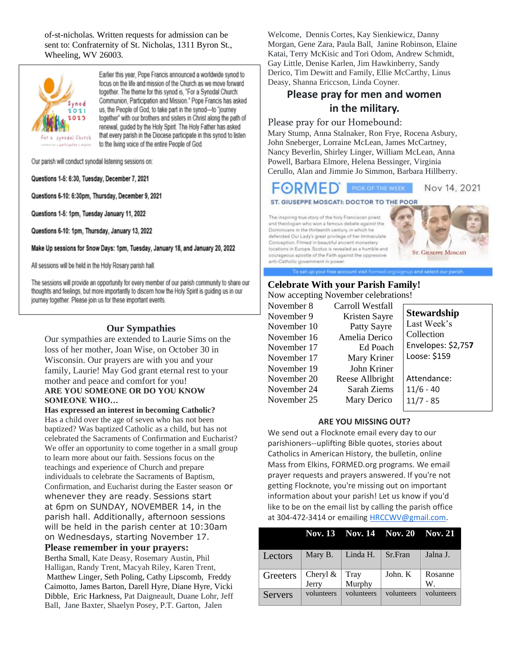of-st-nicholas. Written requests for admission can be sent to: Confraternity of St. Nicholas, 1311 Byron St., Wheeling, WV 26003.



Earlier this year. Pope Francis announced a worldwide synod to focus on the life and mission of the Church as we move forward together. The theme for this synod is, "For a Synodal Church: Communion, Participation and Mission." Pope Francis has asked us, the People of God, to take part in the synod-to "journey together" with our brothers and sisters in Christ along the path of renewal, guided by the Holy Spirit. The Holy Father has asked that every parish in the Diocese participate in this synod to listen to the living voice of the entire People of God.

Our parish will conduct synodal listening sessions on:

Questions 1-5: 6:30, Tuesday, December 7, 2021

Questions 6-10: 6:30pm, Thursday, December 9, 2021

Questions 1-5: 1pm, Tuesday January 11, 2022

Questions 6-10: 1pm, Thursday, January 13, 2022

Make Up sessions for Snow Days: 1pm, Tuesday, January 18, and January 20, 2022

All sessions will be held in the Holy Rosary parish hall.

The sessions will provide an opportunity for every member of our parish community to share our thoughts and feelings, but more importantly to discern how the Holy Spirit is guiding us in our journey together. Please join us for these important events.

#### **Our Sympathies**

Our sympathies are extended to Laurie Sims on the loss of her mother, Joan Wise, on October 30 in Wisconsin. Our prayers are with you and your family, Laurie! May God grant eternal rest to your mother and peace and comfort for you! **ARE YOU SOMEONE OR DO YOU KNOW SOMEONE WHO…**

**Has expressed an interest in becoming Catholic?** Has a child over the age of seven who has not been baptized? Was baptized Catholic as a child, but has not celebrated the Sacraments of Confirmation and Eucharist? We offer an opportunity to come together in a small group to learn more about our faith. Sessions focus on the teachings and experience of Church and prepare individuals to celebrate the Sacraments of Baptism, Confirmation, and Eucharist during the Easter season or whenever they are ready. Sessions start at 6pm on SUNDAY, NOVEMBER 14, in the parish hall. Additionally, afternoon sessions will be held in the parish center at 10:30am on Wednesdays, starting November 17.

**Please remember in your prayers:**

Bertha Small, Kate Deasy, Rosemary Austin, Phil Halligan, Randy Trent, Macyah Riley, Karen Trent, Matthew Linger, Seth Poling, Cathy Lipscomb, Freddy Caimotto, James Barton, Darell Hyre, Diane Hyre, Vicki Dibble, Eric Harkness, Pat Daigneault, Duane Lohr, Jeff Ball, Jane Baxter, Shaelyn Posey, P.T. Garton, Jalen

Welcome, Dennis Cortes, Kay Sienkiewicz, Danny Morgan, Gene Zara, Paula Ball, Janine Robinson, Elaine Katai, Terry McKisic and Tori Odom, Andrew Schmidt, Gay Little, Denise Karlen, Jim Hawkinberry, Sandy Derico, Tim Dewitt and Family, Ellie McCarthy, Linus Deasy, Shanna Ericcson, Linda Coyner.

## **Please pray for men and women in the military.**

#### Please pray for our Homebound:

Mary Stump, Anna Stalnaker, Ron Frye, Rocena Asbury, John Sneberger, Lorraine McLean, James McCartney, Nancy Beverlin, Shirley Linger, William McLean, Anna Powell, Barbara Elmore, Helena Bessinger, Virginia Cerullo, Alan and Jimmie Jo Simmon, Barbara Hillberry.

**FORMED** PICK OF THE WEEK Nov 14, 2021

To set up your free account visit formed org/signup and select our parish

#### ST. GIUSEPPE MOSCATI: DOCTOR TO THE POOR

The inspiring true story of the holy Franciscan priest and theologian who won a famous debate against the Dominicans in the thirteenth century, in which he defended Our Lady's great privilege of her Immaculate Conception. Filmed in beautiful ancient monastery locations in Europe. Scotus is revealed as a humble and courageous apostle of the Faith against the oppressive anti-Catholic government in power.



## **Celebrate With your Parish Family!**

Now accepting November celebrations!

| November 8  | Carroll Westfall |                    |
|-------------|------------------|--------------------|
| November 9  | Kristen Sayre    | <b>Stewardship</b> |
| November 10 | Patty Sayre      | Last Week's        |
| November 16 | Amelia Derico    | Collection         |
| November 17 | Ed Poach         | Envelopes: \$2,757 |
| November 17 | Mary Kriner      | Loose: \$159       |
| November 19 | John Kriner      |                    |
| November 20 | Reese Allbright  | Attendance:        |
| November 24 | Sarah Ziems      | $11/6 - 40$        |
| November 25 | Mary Derico      | $11/7 - 85$        |
|             |                  |                    |

#### **ARE YOU MISSING OUT?**

We send out a Flocknote email every day to our parishioners--uplifting Bible quotes, stories about Catholics in American History, the bulletin, online Mass from Elkins, FORMED.org programs. We email prayer requests and prayers answered. If you're not getting Flocknote, you're missing out on important information about your parish! Let us know if you'd like to be on the email list by calling the parish office at 304-472-3414 or emailing **HRCCWV@gmail.com**.

|                |                   | Nov. 13 Nov. 14 Nov. 20 Nov. 21 |            |               |
|----------------|-------------------|---------------------------------|------------|---------------|
| Lectors        | Mary B.           | Linda H.                        | Sr.Fran    | Jalna J.      |
| Greeters       | Cheryl &<br>Jerry | Tray<br>Murphy                  | John. K    | Rosanne<br>W. |
| <b>Servers</b> | volunteers        | volunteers                      | volunteers | volunteers    |